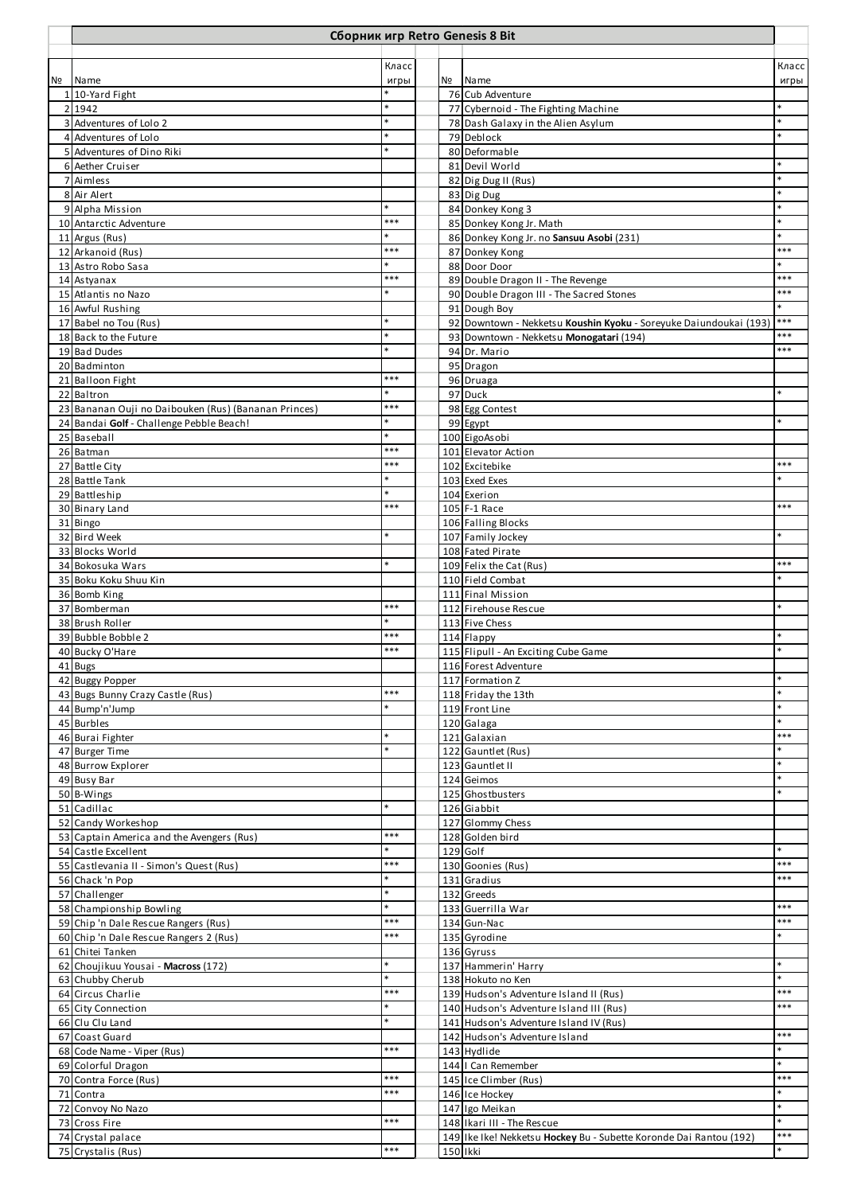|                |                                                      |            |    | Сборник игр Retro Genesis 8 Bit                                    |       |
|----------------|------------------------------------------------------|------------|----|--------------------------------------------------------------------|-------|
|                |                                                      | Класс      |    |                                                                    | Класс |
| N <sub>2</sub> | Name                                                 | игры       | Nº | Name                                                               | игры  |
|                | 1 10-Yard Fight                                      |            |    | 76 Cub Adventure                                                   |       |
|                | 2 1942                                               |            |    | 77 Cybernoid - The Fighting Machine                                |       |
|                | 3 Adventures of Lolo 2                               |            |    | 78 Dash Galaxy in the Alien Asylum                                 |       |
|                | 4 Adventures of Lolo                                 |            |    | 79 Deblock                                                         |       |
|                | 5 Adventures of Dino Riki                            |            |    | 80 Deformable                                                      |       |
|                | 6 Aether Cruiser                                     |            |    | 81 Devil World                                                     |       |
|                | 7 Aimless                                            |            |    | 82 Dig Dug II (Rus)                                                |       |
|                | 8 Air Alert                                          |            |    | 83 Dig Dug                                                         |       |
|                | 9 Alpha Mission<br>10 Antarctic Adventure            | ***        |    | 84 Donkey Kong 3<br>85 Donkey Kong Jr. Math                        |       |
|                | 11 Argus (Rus)                                       |            |    | 86 Donkey Kong Jr. no Sansuu Asobi (231)                           |       |
|                | 12 Arkanoid (Rus)                                    | ***        |    | 87 Donkey Kong                                                     | ***   |
|                | 13 Astro Robo Sasa                                   |            |    | 88 Door Door                                                       |       |
|                | 14 Astyanax                                          | ***        |    | 89 Double Dragon II - The Revenge                                  | ***   |
|                | 15 Atlantis no Nazo                                  |            |    | 90 Double Dragon III - The Sacred Stones                           | ***   |
|                | 16 Awful Rushing                                     |            |    | 91 Dough Boy                                                       |       |
|                | 17 Babel no Tou (Rus)                                |            |    | 92 Downtown - Nekketsu Koushin Kyoku - Soreyuke Daiundoukai (193)  | $***$ |
|                | 18 Back to the Future                                |            |    | 93 Downtown - Nekketsu Monogatari (194)                            | ***   |
|                | 19 Bad Dudes                                         |            |    | 94 Dr. Mario                                                       | ***   |
|                | 20 Badminton                                         |            |    | 95 Dragon                                                          |       |
|                | 21 Balloon Fight                                     | ***        |    | 96 Druaga                                                          |       |
|                | 22 Baltron                                           |            |    | 97 Duck                                                            |       |
|                | 23 Bananan Ouji no Daibouken (Rus) (Bananan Princes) | ***        |    | 98 Egg Contest                                                     |       |
|                | 24 Bandai Golf - Challenge Pebble Beach!             |            |    | 99 Egypt                                                           |       |
|                | 25 Baseball                                          |            |    | 100 EigoAsobi                                                      |       |
|                | 26 Batman                                            | ***        |    | 101 Elevator Action                                                |       |
|                | 27 Battle City                                       | ***        |    | 102 Excitebike                                                     | ***   |
|                | 28 Battle Tank                                       |            |    | 103 Exed Exes                                                      |       |
|                | 29 Battleship                                        |            |    | 104 Exerion                                                        |       |
|                | 30 Binary Land                                       | ***        |    | 105 F-1 Race                                                       | ***   |
|                | 31 Bingo                                             |            |    | 106 Falling Blocks                                                 |       |
|                | 32 Bird Week                                         |            |    | 107 Family Jockey                                                  |       |
|                | 33 Blocks World                                      |            |    | 108 Fated Pirate                                                   |       |
|                | 34 Bokosuka Wars                                     |            |    | 109 Felix the Cat (Rus)                                            | ***   |
|                | 35 Boku Koku Shuu Kin                                |            |    | 110 Field Combat                                                   |       |
|                | 36 Bomb King                                         |            |    | 111 Final Mission                                                  |       |
|                | 37 Bomberman                                         | ***        |    | 112 Firehouse Rescue                                               |       |
|                | 38 Brush Roller                                      |            |    | 113 Five Chess                                                     |       |
|                | 39 Bubble Bobble 2                                   | ***<br>*** |    | 114 Flappy                                                         |       |
|                | 40 Bucky O'Hare                                      |            |    | 115 Flipull - An Exciting Cube Game                                |       |
|                | 41 Bugs                                              |            |    | 116 Forest Adventure                                               |       |
|                | 42 Buggy Popper                                      | ***        |    | 117 Formation Z                                                    |       |
|                | 43 Bugs Bunny Crazy Castle (Rus)                     |            |    | 118 Friday the 13th                                                |       |
|                | 44 Bump'n'Jump                                       |            |    | 119 Front Line                                                     |       |
|                | 45 Burbles                                           |            |    | 120 Galaga                                                         | ***   |
|                | 46 Burai Fighter<br>47 Burger Time                   |            |    | 121 Galaxian<br>122 Gauntlet (Rus)                                 |       |
|                | 48 Burrow Explorer                                   |            |    | 123 Gauntlet II                                                    |       |
|                | 49 Busy Bar                                          |            |    | 124 Geimos                                                         |       |
|                | 50 B-Wings                                           |            |    | 125 Ghostbusters                                                   |       |
|                | 51 Cadillac                                          |            |    | 126 Giabbit                                                        |       |
|                | 52 Candy Workeshop                                   |            |    | 127 Glommy Chess                                                   |       |
|                | 53 Captain America and the Avengers (Rus)            | ***        |    | 128 Golden bird                                                    |       |
|                | 54 Castle Excellent                                  |            |    | 129 Golf                                                           |       |
|                | 55 Castlevania II - Simon's Quest (Rus)              | ***        |    | 130 Goonies (Rus)                                                  | ***   |
|                | 56 Chack 'n Pop                                      |            |    | 131 Gradius                                                        | ***   |
|                | 57 Challenger                                        |            |    | 132 Greeds                                                         |       |
|                | 58 Championship Bowling                              |            |    | 133 Guerrilla War                                                  | ***   |
|                | 59 Chip 'n Dale Rescue Rangers (Rus)                 | ***        |    | 134 Gun-Nac                                                        | ***   |
|                | 60 Chip 'n Dale Rescue Rangers 2 (Rus)               | ***        |    | 135 Gyrodine                                                       |       |
|                | 61 Chitei Tanken                                     |            |    | 136 Gyruss                                                         |       |
|                | 62 Choujikuu Yousai - Macross (172)                  |            |    | 137 Hammerin' Harry                                                |       |
|                | 63 Chubby Cherub                                     |            |    | 138 Hokuto no Ken                                                  |       |
|                | 64 Circus Charlie                                    | ***        |    | 139 Hudson's Adventure Island II (Rus)                             | ***   |
|                | 65 City Connection                                   |            |    | 140 Hudson's Adventure Island III (Rus)                            | ***   |
|                | 66 Clu Clu Land                                      |            |    | 141 Hudson's Adventure Island IV (Rus)                             |       |
|                | 67 Coast Guard                                       |            |    | 142 Hudson's Adventure Island                                      | ***   |
|                | 68 Code Name - Viper (Rus)                           | ***        |    | 143 Hydlide                                                        |       |
|                | 69 Colorful Dragon                                   |            |    | 144   Can Remember                                                 |       |
|                | 70 Contra Force (Rus)                                | ***        |    | 145 Ice Climber (Rus)                                              | ***   |
|                | 71 Contra                                            | ***        |    | 146 Ice Hockey                                                     |       |
|                | 72 Convoy No Nazo                                    |            |    | 147 Igo Meikan                                                     |       |
|                | 73 Cross Fire                                        | ***        |    | 148 Ikari III - The Rescue                                         |       |
|                | 74 Crystal palace                                    |            |    | 149 Ike Ike! Nekketsu Hockey Bu - Subette Koronde Dai Rantou (192) | ***   |